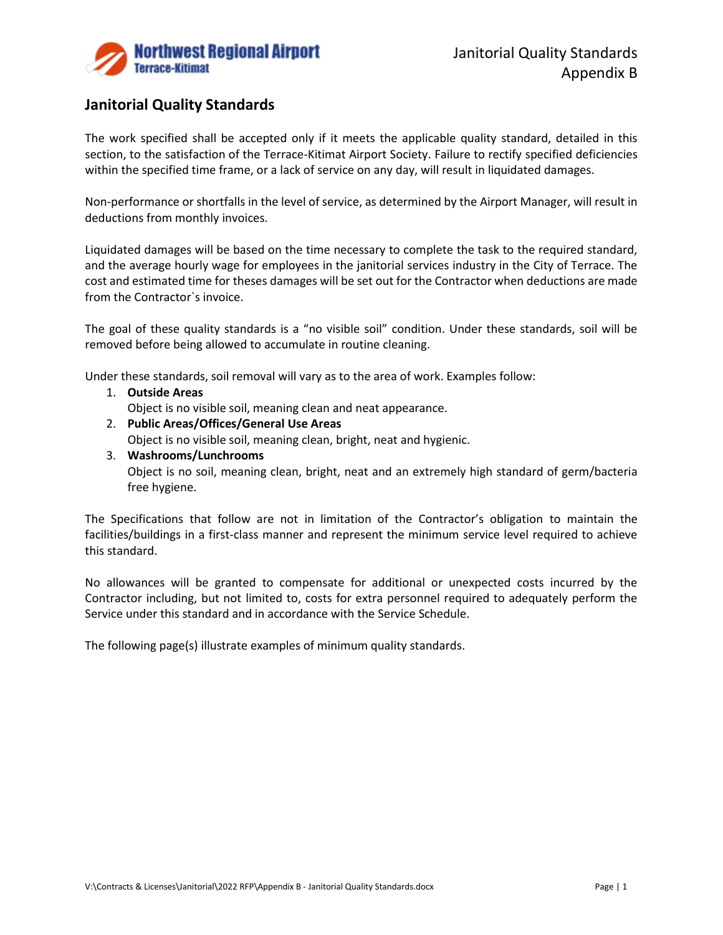

# **Janitorial Quality Standards**

The work specified shall be accepted only if it meets the applicable quality standard, detailed in this section, to the satisfaction of the Terrace-Kitimat Airport Society. Failure to rectify specified deficiencies within the specified time frame, or a lack of service on any day, will result in liquidated damages.

Non-performance or shortfalls in the level of service, as determined by the Airport Manager, will result in deductions from monthly invoices.

Liquidated damages will be based on the time necessary to complete the task to the required standard, and the average hourly wage for employees in the janitorial services industry in the City of Terrace. The cost and estimated time for theses damages will be set out for the Contractor when deductions are made from the Contractor`s invoice.

The goal of these quality standards is a "no visible soil" condition. Under these standards, soil will be removed before being allowed to accumulate in routine cleaning.

Under these standards, soil removal will vary as to the area of work. Examples follow:

- 1. **Outside Areas** Object is no visible soil, meaning clean and neat appearance.
- 2. **Public Areas/Offices/General Use Areas**

Object is no visible soil, meaning clean, bright, neat and hygienic.

3. **Washrooms/Lunchrooms**

Object is no soil, meaning clean, bright, neat and an extremely high standard of germ/bacteria free hygiene.

The Specifications that follow are not in limitation of the Contractor's obligation to maintain the facilities/buildings in a first-class manner and represent the minimum service level required to achieve this standard.

No allowances will be granted to compensate for additional or unexpected costs incurred by the Contractor including, but not limited to, costs for extra personnel required to adequately perform the Service under this standard and in accordance with the Service Schedule.

The following page(s) illustrate examples of minimum quality standards.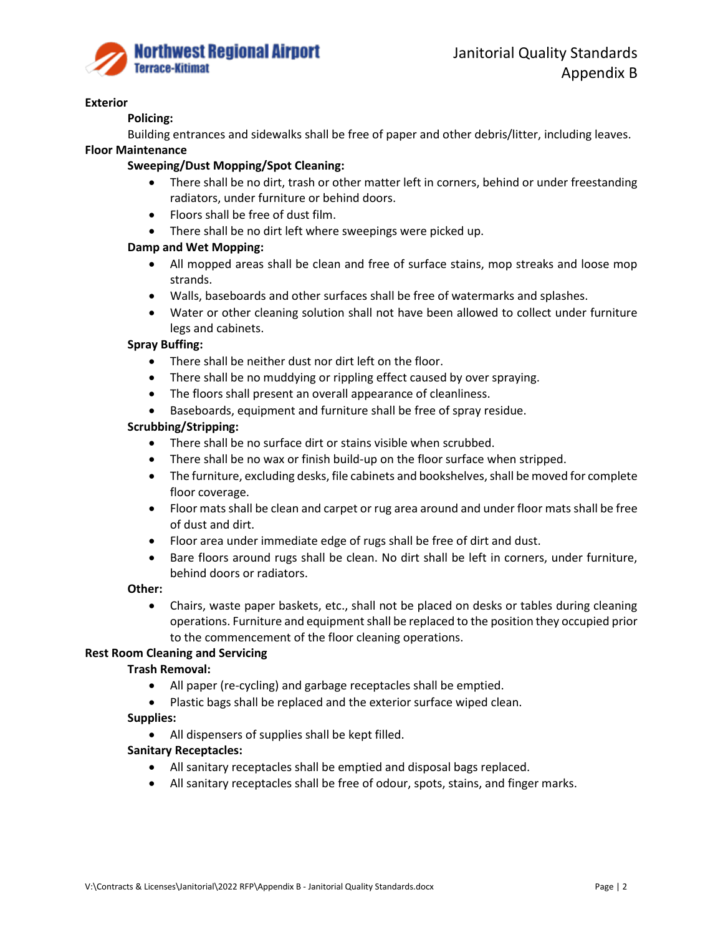

#### **Exterior**

# **Policing:**

Building entrances and sidewalks shall be free of paper and other debris/litter, including leaves.

# **Floor Maintenance**

# **Sweeping/Dust Mopping/Spot Cleaning:**

- There shall be no dirt, trash or other matter left in corners, behind or under freestanding radiators, under furniture or behind doors.
- Floors shall be free of dust film.
- There shall be no dirt left where sweepings were picked up.

# **Damp and Wet Mopping:**

- All mopped areas shall be clean and free of surface stains, mop streaks and loose mop strands.
- Walls, baseboards and other surfaces shall be free of watermarks and splashes.
- Water or other cleaning solution shall not have been allowed to collect under furniture legs and cabinets.

### **Spray Buffing:**

- There shall be neither dust nor dirt left on the floor.
- There shall be no muddying or rippling effect caused by over spraying.
- The floors shall present an overall appearance of cleanliness.
- Baseboards, equipment and furniture shall be free of spray residue.

### **Scrubbing/Stripping:**

- There shall be no surface dirt or stains visible when scrubbed.
- There shall be no wax or finish build-up on the floor surface when stripped.
- The furniture, excluding desks, file cabinets and bookshelves, shall be moved for complete floor coverage.
- Floor mats shall be clean and carpet or rug area around and under floor mats shall be free of dust and dirt.
- Floor area under immediate edge of rugs shall be free of dirt and dust.
- Bare floors around rugs shall be clean. No dirt shall be left in corners, under furniture, behind doors or radiators.

#### **Other:**

• Chairs, waste paper baskets, etc., shall not be placed on desks or tables during cleaning operations. Furniture and equipment shall be replaced to the position they occupied prior to the commencement of the floor cleaning operations.

# **Rest Room Cleaning and Servicing**

# **Trash Removal:**

- All paper (re-cycling) and garbage receptacles shall be emptied.
- Plastic bags shall be replaced and the exterior surface wiped clean.

#### **Supplies:**

• All dispensers of supplies shall be kept filled.

# **Sanitary Receptacles:**

- All sanitary receptacles shall be emptied and disposal bags replaced.
- All sanitary receptacles shall be free of odour, spots, stains, and finger marks.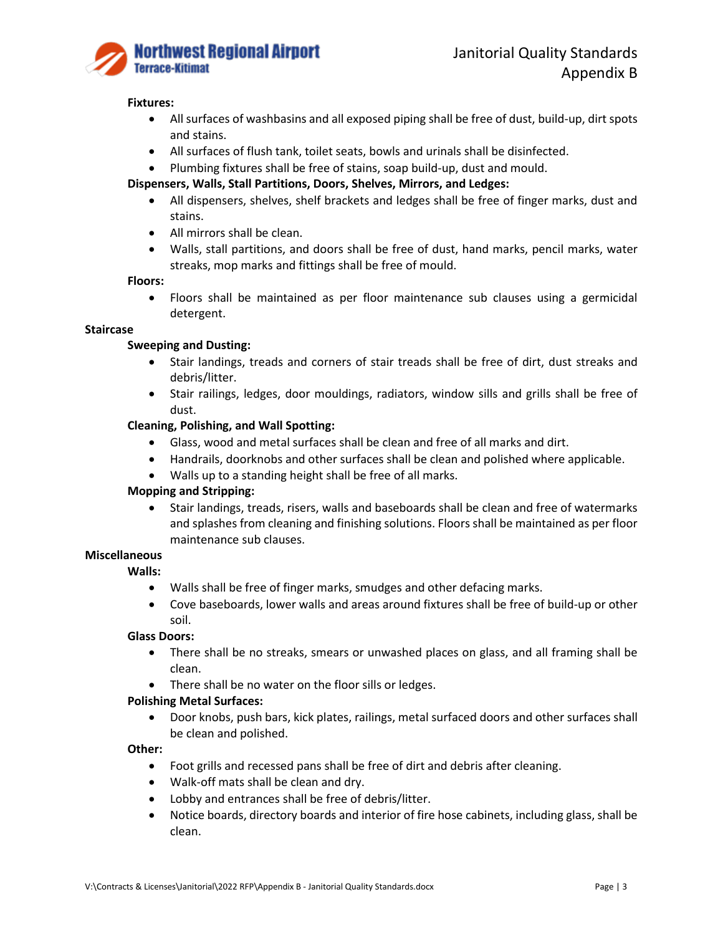

## **Fixtures:**

- All surfaces of washbasins and all exposed piping shall be free of dust, build-up, dirt spots and stains.
- All surfaces of flush tank, toilet seats, bowls and urinals shall be disinfected.
- Plumbing fixtures shall be free of stains, soap build-up, dust and mould.

# **Dispensers, Walls, Stall Partitions, Doors, Shelves, Mirrors, and Ledges:**

- All dispensers, shelves, shelf brackets and ledges shall be free of finger marks, dust and stains.
- All mirrors shall be clean.
- Walls, stall partitions, and doors shall be free of dust, hand marks, pencil marks, water streaks, mop marks and fittings shall be free of mould.

### **Floors:**

• Floors shall be maintained as per floor maintenance sub clauses using a germicidal detergent.

## **Staircase**

# **Sweeping and Dusting:**

- Stair landings, treads and corners of stair treads shall be free of dirt, dust streaks and debris/litter.
- Stair railings, ledges, door mouldings, radiators, window sills and grills shall be free of dust.

# **Cleaning, Polishing, and Wall Spotting:**

- Glass, wood and metal surfaces shall be clean and free of all marks and dirt.
- Handrails, doorknobs and other surfaces shall be clean and polished where applicable.
- Walls up to a standing height shall be free of all marks.

# **Mopping and Stripping:**

• Stair landings, treads, risers, walls and baseboards shall be clean and free of watermarks and splashes from cleaning and finishing solutions. Floors shall be maintained as per floor maintenance sub clauses.

# **Miscellaneous**

- **Walls:**
	- Walls shall be free of finger marks, smudges and other defacing marks.
	- Cove baseboards, lower walls and areas around fixtures shall be free of build-up or other soil.

# **Glass Doors:**

- There shall be no streaks, smears or unwashed places on glass, and all framing shall be clean.
- There shall be no water on the floor sills or ledges.

# **Polishing Metal Surfaces:**

• Door knobs, push bars, kick plates, railings, metal surfaced doors and other surfaces shall be clean and polished.

#### **Other:**

- Foot grills and recessed pans shall be free of dirt and debris after cleaning.
- Walk-off mats shall be clean and dry.
- Lobby and entrances shall be free of debris/litter.
- Notice boards, directory boards and interior of fire hose cabinets, including glass, shall be clean.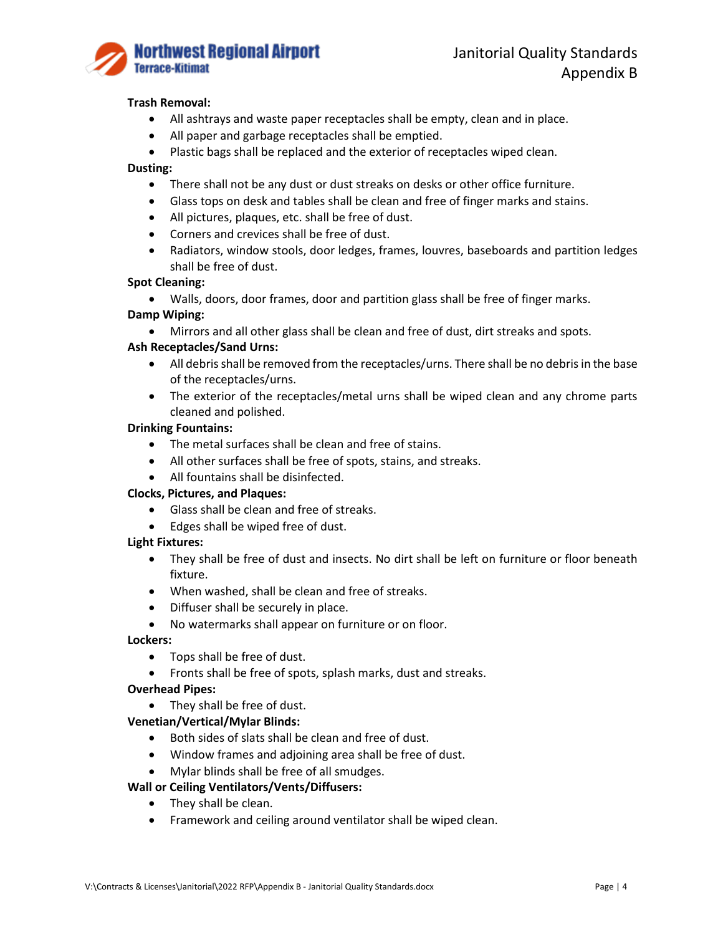

## **Trash Removal:**

- All ashtrays and waste paper receptacles shall be empty, clean and in place.
- All paper and garbage receptacles shall be emptied.
- Plastic bags shall be replaced and the exterior of receptacles wiped clean.

# **Dusting:**

- There shall not be any dust or dust streaks on desks or other office furniture.
- Glass tops on desk and tables shall be clean and free of finger marks and stains.
- All pictures, plaques, etc. shall be free of dust.
- Corners and crevices shall be free of dust.
- Radiators, window stools, door ledges, frames, louvres, baseboards and partition ledges shall be free of dust.

#### **Spot Cleaning:**

• Walls, doors, door frames, door and partition glass shall be free of finger marks.

# **Damp Wiping:**

• Mirrors and all other glass shall be clean and free of dust, dirt streaks and spots.

### **Ash Receptacles/Sand Urns:**

- All debris shall be removed from the receptacles/urns. There shall be no debris in the base of the receptacles/urns.
- The exterior of the receptacles/metal urns shall be wiped clean and any chrome parts cleaned and polished.

#### **Drinking Fountains:**

- The metal surfaces shall be clean and free of stains.
- All other surfaces shall be free of spots, stains, and streaks.
- All fountains shall be disinfected.

## **Clocks, Pictures, and Plaques:**

- Glass shall be clean and free of streaks.
- Edges shall be wiped free of dust.

#### **Light Fixtures:**

- They shall be free of dust and insects. No dirt shall be left on furniture or floor beneath fixture.
- When washed, shall be clean and free of streaks.
- Diffuser shall be securely in place.
- No watermarks shall appear on furniture or on floor.

#### **Lockers:**

- Tops shall be free of dust.
- Fronts shall be free of spots, splash marks, dust and streaks.

#### **Overhead Pipes:**

• They shall be free of dust.

#### **Venetian/Vertical/Mylar Blinds:**

- Both sides of slats shall be clean and free of dust.
- Window frames and adjoining area shall be free of dust.
- Mylar blinds shall be free of all smudges.

## **Wall or Ceiling Ventilators/Vents/Diffusers:**

- They shall be clean.
- Framework and ceiling around ventilator shall be wiped clean.